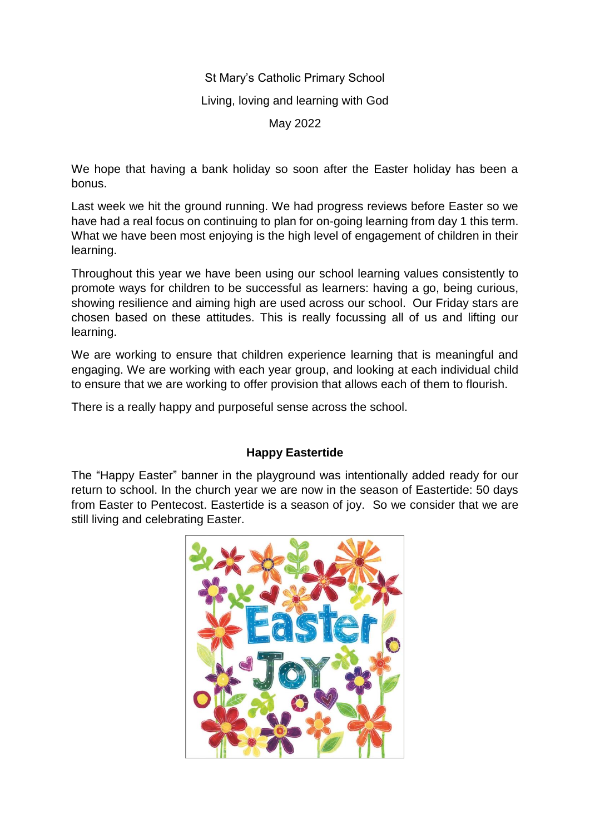# St Mary's Catholic Primary School Living, loving and learning with God May 2022

We hope that having a bank holiday so soon after the Easter holiday has been a bonus.

Last week we hit the ground running. We had progress reviews before Easter so we have had a real focus on continuing to plan for on-going learning from day 1 this term. What we have been most enjoying is the high level of engagement of children in their learning.

Throughout this year we have been using our school learning values consistently to promote ways for children to be successful as learners: having a go, being curious, showing resilience and aiming high are used across our school. Our Friday stars are chosen based on these attitudes. This is really focussing all of us and lifting our learning.

We are working to ensure that children experience learning that is meaningful and engaging. We are working with each year group, and looking at each individual child to ensure that we are working to offer provision that allows each of them to flourish.

There is a really happy and purposeful sense across the school.

# **Happy Eastertide**

The "Happy Easter" banner in the playground was intentionally added ready for our return to school. In the church year we are now in the season of Eastertide: 50 days from Easter to Pentecost. Eastertide is a season of joy. So we consider that we are still living and celebrating Easter.

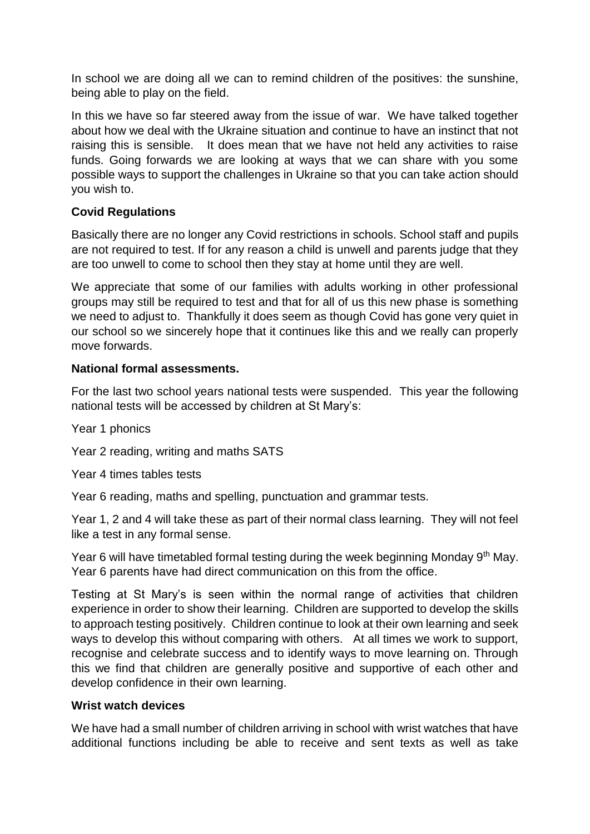In school we are doing all we can to remind children of the positives: the sunshine, being able to play on the field.

In this we have so far steered away from the issue of war. We have talked together about how we deal with the Ukraine situation and continue to have an instinct that not raising this is sensible. It does mean that we have not held any activities to raise funds. Going forwards we are looking at ways that we can share with you some possible ways to support the challenges in Ukraine so that you can take action should you wish to.

# **Covid Regulations**

Basically there are no longer any Covid restrictions in schools. School staff and pupils are not required to test. If for any reason a child is unwell and parents judge that they are too unwell to come to school then they stay at home until they are well.

We appreciate that some of our families with adults working in other professional groups may still be required to test and that for all of us this new phase is something we need to adjust to. Thankfully it does seem as though Covid has gone very quiet in our school so we sincerely hope that it continues like this and we really can properly move forwards.

## **National formal assessments.**

For the last two school years national tests were suspended. This year the following national tests will be accessed by children at St Mary's:

Year 1 phonics

Year 2 reading, writing and maths SATS

Year 4 times tables tests

Year 6 reading, maths and spelling, punctuation and grammar tests.

Year 1, 2 and 4 will take these as part of their normal class learning. They will not feel like a test in any formal sense.

Year 6 will have timetabled formal testing during the week beginning Monday 9<sup>th</sup> May. Year 6 parents have had direct communication on this from the office.

Testing at St Mary's is seen within the normal range of activities that children experience in order to show their learning. Children are supported to develop the skills to approach testing positively. Children continue to look at their own learning and seek ways to develop this without comparing with others. At all times we work to support, recognise and celebrate success and to identify ways to move learning on. Through this we find that children are generally positive and supportive of each other and develop confidence in their own learning.

#### **Wrist watch devices**

We have had a small number of children arriving in school with wrist watches that have additional functions including be able to receive and sent texts as well as take